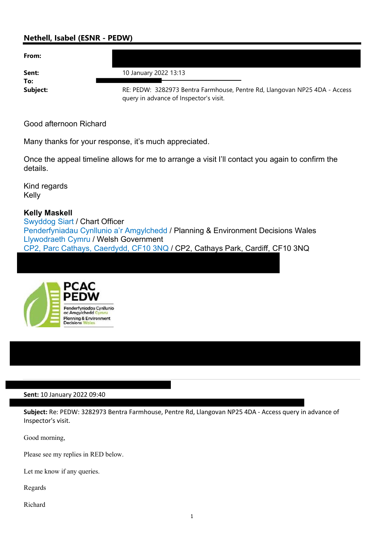## Nethell, Isabel (ESNR - PEDW)

| From:        |                                                                                                                      |
|--------------|----------------------------------------------------------------------------------------------------------------------|
| Sent:<br>To: | 10 January 2022 13:13                                                                                                |
| Subject:     | RE: PEDW: 3282973 Bentra Farmhouse, Pentre Rd, Llangovan NP25 4DA - Access<br>query in advance of Inspector's visit. |

Good afternoon Richard

Many thanks for your response, it's much appreciated.

Once the appeal timeline allows for me to arrange a visit I'll contact you again to confirm the details.

Kind regards Kelly

## Kelly Maskell

Swyddog Siart / Chart Officer Penderfyniadau Cynllunio a'r Amgylchedd / Planning & Environment Decisions Wales Llywodraeth Cymru / Welsh Government CP2, Parc Cathays, Caerdydd, CF10 3NQ / CP2, Cathays Park, Cardiff, CF10 3NQ



## Sent: 10 January 2022 09:40

Subject: Re: PEDW: 3282973 Bentra Farmhouse, Pentre Rd, Llangovan NP25 4DA - Access query in advance of Inspector's visit.

Good morning,

Please see my replies in RED below.

Let me know if any queries.

Regards

Richard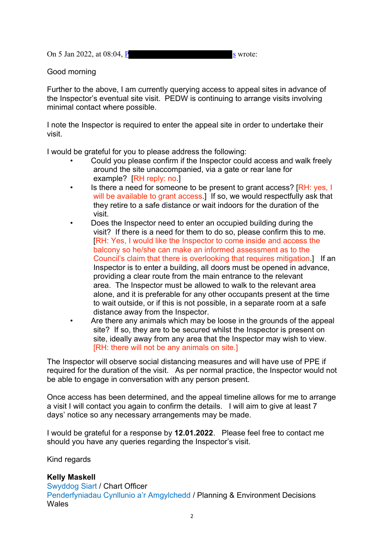On 5 Jan 2022, at  $08:04$ , P s wrote:

Good morning

Further to the above, I am currently querying access to appeal sites in advance of the Inspector's eventual site visit. PEDW is continuing to arrange visits involving minimal contact where possible.

I note the Inspector is required to enter the appeal site in order to undertake their visit.

I would be grateful for you to please address the following:

- Could you please confirm if the Inspector could access and walk freely around the site unaccompanied, via a gate or rear lane for example? **RH** reply: no.
- Is there a need for someone to be present to grant access? [RH: yes, I] will be available to grant access.] If so, we would respectfully ask that they retire to a safe distance or wait indoors for the duration of the visit.
- Does the Inspector need to enter an occupied building during the visit? If there is a need for them to do so, please confirm this to me. [RH: Yes, I would like the Inspector to come inside and access the balcony so he/she can make an informed assessment as to the Council's claim that there is overlooking that requires mitigation.] If an Inspector is to enter a building, all doors must be opened in advance, providing a clear route from the main entrance to the relevant area. The Inspector must be allowed to walk to the relevant area alone, and it is preferable for any other occupants present at the time to wait outside, or if this is not possible, in a separate room at a safe distance away from the Inspector.
- Are there any animals which may be loose in the grounds of the appeal site? If so, they are to be secured whilst the Inspector is present on site, ideally away from any area that the Inspector may wish to view. [RH: there will not be any animals on site.]

The Inspector will observe social distancing measures and will have use of PPE if required for the duration of the visit. As per normal practice, the Inspector would not be able to engage in conversation with any person present.

Once access has been determined, and the appeal timeline allows for me to arrange a visit I will contact you again to confirm the details. I will aim to give at least 7 days' notice so any necessary arrangements may be made.

I would be grateful for a response by 12.01.2022. Please feel free to contact me should you have any queries regarding the Inspector's visit.

Kind regards

## Kelly Maskell

Swyddog Siart / Chart Officer Penderfyniadau Cynllunio a'r Amgylchedd / Planning & Environment Decisions Wales